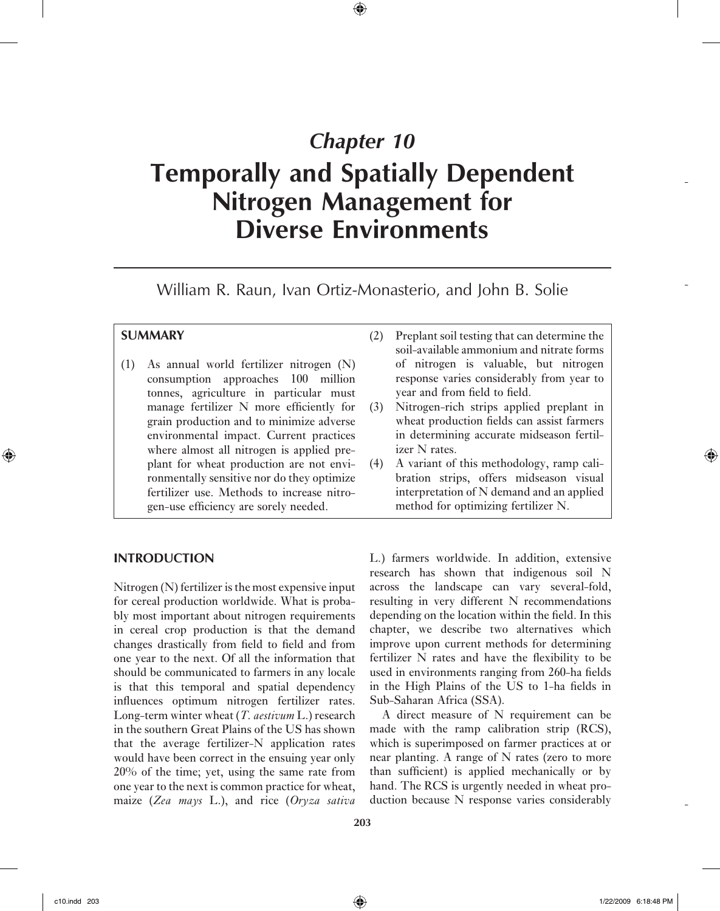# *Chapter 10* **Temporally and Spatially Dependent Nitrogen Management for Diverse Environments**

 $\bigcirc$ 

William R. Raun, Ivan Ortiz-Monasterio, and John B. Solie

# **SUMMARY**

(1) As annual world fertilizer nitrogen (N) consumption approaches 100 million tonnes, agriculture in particular must manage fertilizer N more efficiently for grain production and to minimize adverse environmental impact. Current practices where almost all nitrogen is applied preplant for wheat production are not environmentally sensitive nor do they optimize fertilizer use. Methods to increase nitrogen-use efficiency are sorely needed.

## **INTRODUCTION**

Nitrogen (N) fertilizer is the most expensive input for cereal production worldwide. What is probably most important about nitrogen requirements in cereal crop production is that the demand changes drastically from field to field and from one year to the next. Of all the information that should be communicated to farmers in any locale is that this temporal and spatial dependency influences optimum nitrogen fertilizer rates. Long-term winter wheat (*T. aestivum* L.) research in the southern Great Plains of the US has shown that the average fertilizer-N application rates would have been correct in the ensuing year only 20% of the time; yet, using the same rate from one year to the next is common practice for wheat, maize (*Zea mays* L.), and rice (*Oryza sativa*

- (2) Preplant soil testing that can determine the soil-available ammonium and nitrate forms of nitrogen is valuable, but nitrogen response varies considerably from year to year and from field to field.
- (3) Nitrogen-rich strips applied preplant in wheat production fields can assist farmers in determining accurate midseason fertilizer N rates.
- (4) A variant of this methodology, ramp calibration strips, offers midseason visual interpretation of N demand and an applied method for optimizing fertilizer N.

L.) farmers worldwide. In addition, extensive research has shown that indigenous soil N across the landscape can vary several-fold, resulting in very different N recommendations depending on the location within the field. In this chapter, we describe two alternatives which improve upon current methods for determining fertilizer N rates and have the flexibility to be used in environments ranging from 260-ha fields in the High Plains of the US to 1-ha fields in Sub-Saharan Africa (SSA).

A direct measure of N requirement can be made with the ramp calibration strip (RCS), which is superimposed on farmer practices at or near planting. A range of N rates (zero to more than sufficient) is applied mechanically or by hand. The RCS is urgently needed in wheat production because N response varies considerably

⊕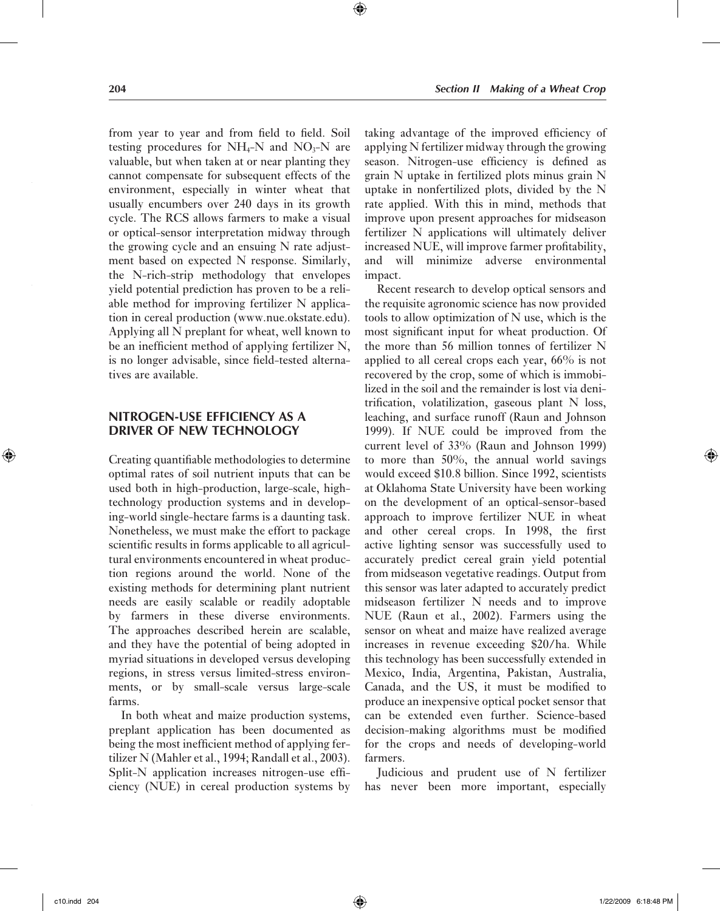from year to year and from field to field. Soil testing procedures for  $NH_4-N$  and  $NO_3-N$  are valuable, but when taken at or near planting they cannot compensate for subsequent effects of the environment, especially in winter wheat that usually encumbers over 240 days in its growth cycle. The RCS allows farmers to make a visual or optical-sensor interpretation midway through the growing cycle and an ensuing N rate adjustment based on expected N response. Similarly, the N-rich-strip methodology that envelopes yield potential prediction has proven to be a reliable method for improving fertilizer N application in cereal production (www.nue.okstate.edu). Applying all N preplant for wheat, well known to be an inefficient method of applying fertilizer N, is no longer advisable, since field-tested alternatives are available.

# **NITROGEN-USE EFFICIENCY AS A DRIVER OF NEW TECHNOLOGY**

Creating quantifiable methodologies to determine optimal rates of soil nutrient inputs that can be used both in high-production, large-scale, hightechnology production systems and in developing-world single-hectare farms is a daunting task. Nonetheless, we must make the effort to package scientific results in forms applicable to all agricultural environments encountered in wheat production regions around the world. None of the existing methods for determining plant nutrient needs are easily scalable or readily adoptable by farmers in these diverse environments. The approaches described herein are scalable, and they have the potential of being adopted in myriad situations in developed versus developing regions, in stress versus limited-stress environments, or by small-scale versus large-scale farms.

In both wheat and maize production systems, preplant application has been documented as being the most inefficient method of applying fertilizer N (Mahler et al., 1994; Randall et al., 2003). Split-N application increases nitrogen-use efficiency (NUE) in cereal production systems by

taking advantage of the improved efficiency of applying N fertilizer midway through the growing season. Nitrogen-use efficiency is defined as grain N uptake in fertilized plots minus grain N uptake in nonfertilized plots, divided by the N rate applied. With this in mind, methods that improve upon present approaches for midseason fertilizer N applications will ultimately deliver increased NUE, will improve farmer profitability, and will minimize adverse environmental impact.

 $\bigcirc$ 

Recent research to develop optical sensors and the requisite agronomic science has now provided tools to allow optimization of N use, which is the most significant input for wheat production. Of the more than 56 million tonnes of fertilizer N applied to all cereal crops each year, 66% is not recovered by the crop, some of which is immobilized in the soil and the remainder is lost via denitrification, volatilization, gaseous plant N loss, leaching, and surface runoff (Raun and Johnson 1999). If NUE could be improved from the current level of 33% (Raun and Johnson 1999) to more than 50%, the annual world savings would exceed \$10.8 billion. Since 1992, scientists at Oklahoma State University have been working on the development of an optical-sensor-based approach to improve fertilizer NUE in wheat and other cereal crops. In 1998, the first active lighting sensor was successfully used to accurately predict cereal grain yield potential from midseason vegetative readings. Output from this sensor was later adapted to accurately predict midseason fertilizer N needs and to improve NUE (Raun et al., 2002). Farmers using the sensor on wheat and maize have realized average increases in revenue exceeding \$20/ha. While this technology has been successfully extended in Mexico, India, Argentina, Pakistan, Australia, Canada, and the US, it must be modified to produce an inexpensive optical pocket sensor that can be extended even further. Science-based decision-making algorithms must be modified for the crops and needs of developing-world farmers.

Judicious and prudent use of N fertilizer has never been more important, especially

⊕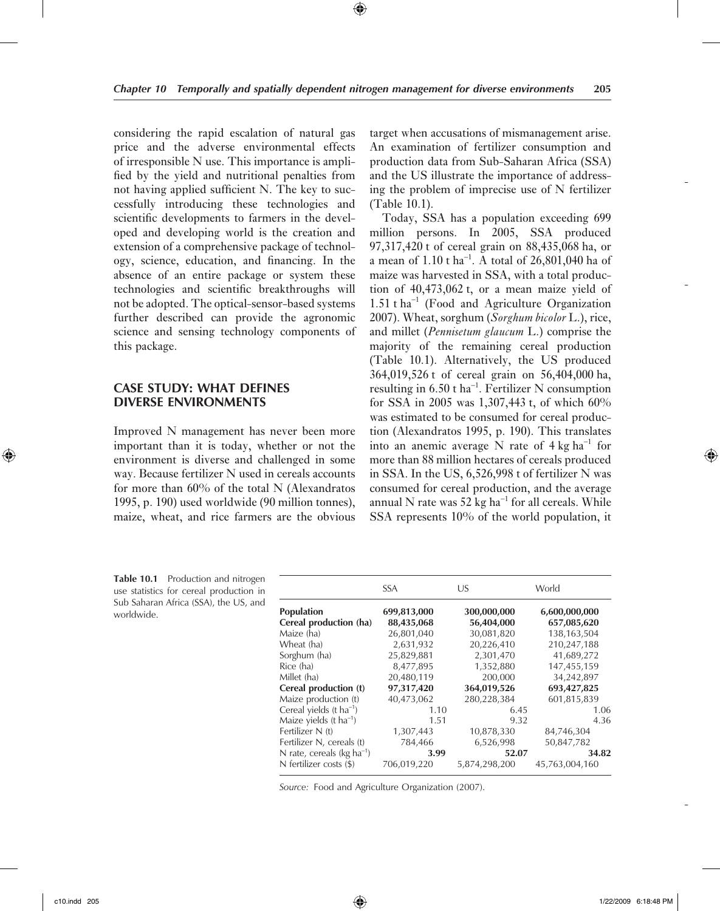⊕

considering the rapid escalation of natural gas price and the adverse environmental effects of irresponsible N use. This importance is amplified by the yield and nutritional penalties from not having applied sufficient N. The key to successfully introducing these technologies and scientific developments to farmers in the developed and developing world is the creation and extension of a comprehensive package of technology, science, education, and financing. In the absence of an entire package or system these technologies and scientific breakthroughs will not be adopted. The optical-sensor-based systems further described can provide the agronomic science and sensing technology components of this package.

# **CASE STUDY: WHAT DEFINES DIVERSE ENVIRONMENTS**

Improved N management has never been more important than it is today, whether or not the environment is diverse and challenged in some way. Because fertilizer N used in cereals accounts for more than 60% of the total N (Alexandratos 1995, p. 190) used worldwide (90 million tonnes), maize, wheat, and rice farmers are the obvious

target when accusations of mismanagement arise. An examination of fertilizer consumption and production data from Sub-Saharan Africa (SSA) and the US illustrate the importance of addressing the problem of imprecise use of N fertilizer (Table 10.1).

Today, SSA has a population exceeding 699 million persons. In 2005, SSA produced 97,317,420 t of cereal grain on 88,435,068 ha, or a mean of  $1.10$  t ha<sup>-1</sup>. A total of  $26,801,040$  ha of maize was harvested in SSA, with a total production of 40,473,062 t, or a mean maize yield of 1.51 t ha-<sup>1</sup> (Food and Agriculture Organization 2007). Wheat, sorghum (*Sorghum bicolor* L.), rice, and millet (*Pennisetum glaucum* L.) comprise the majority of the remaining cereal production (Table 10.1). Alternatively, the US produced 364,019,526 t of cereal grain on 56,404,000 ha, resulting in  $6.50$  t ha<sup>-1</sup>. Fertilizer N consumption for SSA in 2005 was 1,307,443 t, of which 60% was estimated to be consumed for cereal production (Alexandratos 1995, p. 190). This translates into an anemic average N rate of  $4 \text{ kg ha}^{-1}$  for more than 88 million hectares of cereals produced in SSA. In the US, 6,526,998 t of fertilizer N was consumed for cereal production, and the average annual N rate was  $52 \text{ kg ha}^{-1}$  for all cereals. While SSA represents 10% of the world population, it

**Table 10.1** Production and nitrogen use statistics for cereal production in Sub Saharan Africa (SSA), the US, and worldwide.

|                                          | <b>SSA</b>  | US            | World          |
|------------------------------------------|-------------|---------------|----------------|
| <b>Population</b>                        | 699,813,000 | 300,000,000   | 6,600,000,000  |
| Cereal production (ha)                   | 88,435,068  | 56,404,000    | 657,085,620    |
| Maize (ha)                               | 26,801,040  | 30,081,820    | 138,163,504    |
| Wheat (ha)                               | 2,631,932   | 20,226,410    | 210,247,188    |
| Sorghum (ha)                             | 25,829,881  | 2,301,470     | 41,689,272     |
| Rice (ha)                                | 8,477,895   | 1,352,880     | 147,455,159    |
| Millet (ha)                              | 20,480,119  | 200,000       | 34,242,897     |
| Cereal production (t)                    | 97,317,420  | 364,019,526   | 693,427,825    |
| Maize production (t)                     | 40,473,062  | 280,228,384   | 601,815,839    |
| Cereal yields (t ha <sup>-1</sup> )      | 1.10        | 6.45          | 1.06           |
| Maize yields $(t \, ha^{-1})$            | 1.51        | 9.32          | 4.36           |
| Fertilizer N (t)                         | 1,307,443   | 10,878,330    | 84,746,304     |
| Fertilizer N, cereals (t)                | 784,466     | 6,526,998     | 50,847,782     |
| N rate, cereals ( $kg \text{ ha}^{-1}$ ) | 3.99        | 52.07         | 34.82          |
| N fertilizer costs (\$)                  | 706,019,220 | 5,874,298,200 | 45,763,004,160 |

*Source:* Food and Agriculture Organization (2007).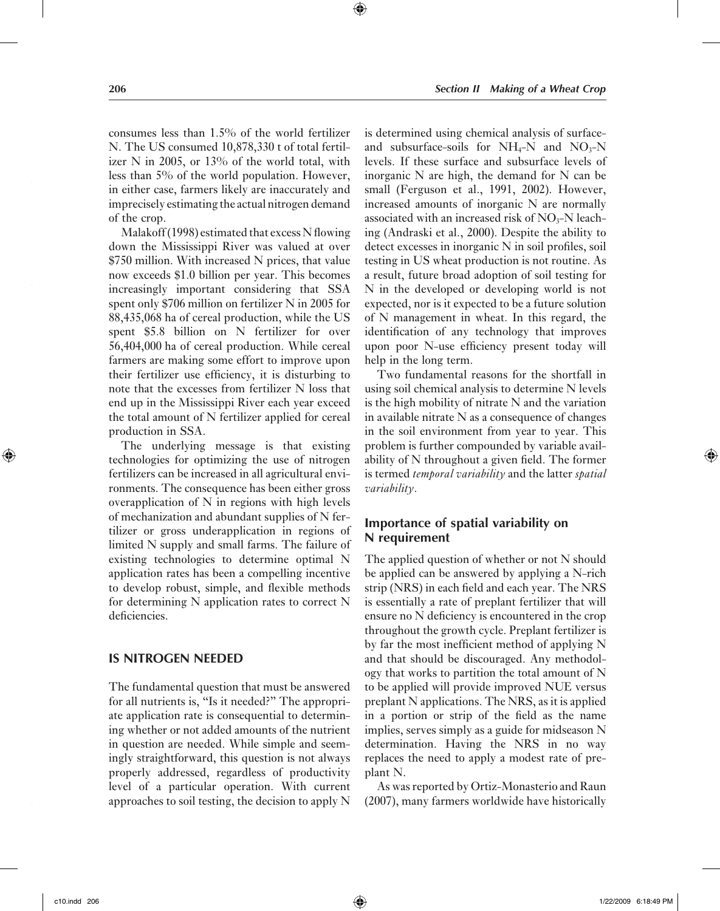consumes less than 1.5% of the world fertilizer N. The US consumed 10,878,330 t of total fertilizer  $N$  in 2005, or 13% of the world total, with less than 5% of the world population. However, in either case, farmers likely are inaccurately and imprecisely estimating the actual nitrogen demand of the crop.

 $\bigcirc$ 

Malakoff (1998) estimated that excess N flowing down the Mississippi River was valued at over \$750 million. With increased N prices, that value now exceeds \$1.0 billion per year. This becomes increasingly important considering that SSA spent only \$706 million on fertilizer N in 2005 for 88,435,068 ha of cereal production, while the US spent \$5.8 billion on N fertilizer for over 56,404,000 ha of cereal production. While cereal farmers are making some effort to improve upon their fertilizer use efficiency, it is disturbing to note that the excesses from fertilizer N loss that end up in the Mississippi River each year exceed the total amount of N fertilizer applied for cereal production in SSA.

The underlying message is that existing technologies for optimizing the use of nitrogen fertilizers can be increased in all agricultural environments. The consequence has been either gross overapplication of N in regions with high levels of mechanization and abundant supplies of N fertilizer or gross underapplication in regions of limited N supply and small farms. The failure of existing technologies to determine optimal N application rates has been a compelling incentive to develop robust, simple, and flexible methods for determining N application rates to correct N deficiencies.

#### **IS NITROGEN NEEDED**

The fundamental question that must be answered for all nutrients is, "Is it needed?" The appropriate application rate is consequential to determining whether or not added amounts of the nutrient in question are needed. While simple and seemingly straightforward, this question is not always properly addressed, regardless of productivity level of a particular operation. With current approaches to soil testing, the decision to apply N

is determined using chemical analysis of surfaceand subsurface-soils for  $NH_4-N$  and  $NO_3-N$ levels. If these surface and subsurface levels of inorganic N are high, the demand for N can be small (Ferguson et al., 1991, 2002). However, increased amounts of inorganic N are normally associated with an increased risk of  $NO<sub>3</sub>-N$  leaching (Andraski et al., 2000). Despite the ability to detect excesses in inorganic N in soil profiles, soil testing in US wheat production is not routine. As a result, future broad adoption of soil testing for N in the developed or developing world is not expected, nor is it expected to be a future solution of N management in wheat. In this regard, the identification of any technology that improves upon poor N-use efficiency present today will help in the long term.

Two fundamental reasons for the shortfall in using soil chemical analysis to determine N levels is the high mobility of nitrate N and the variation in available nitrate N as a consequence of changes in the soil environment from year to year. This problem is further compounded by variable availability of N throughout a given field. The former is termed *temporal variability* and the latter *spatial variability*.

# **Importance of spatial variability on N requirement**

The applied question of whether or not N should be applied can be answered by applying a N-rich strip (NRS) in each field and each year. The NRS is essentially a rate of preplant fertilizer that will ensure no N deficiency is encountered in the crop throughout the growth cycle. Preplant fertilizer is by far the most inefficient method of applying N and that should be discouraged. Any methodology that works to partition the total amount of N to be applied will provide improved NUE versus preplant N applications. The NRS, as it is applied in a portion or strip of the field as the name implies, serves simply as a guide for midseason N determination. Having the NRS in no way replaces the need to apply a modest rate of preplant N.

As was reported by Ortiz-Monasterio and Raun (2007), many farmers worldwide have historically

⊕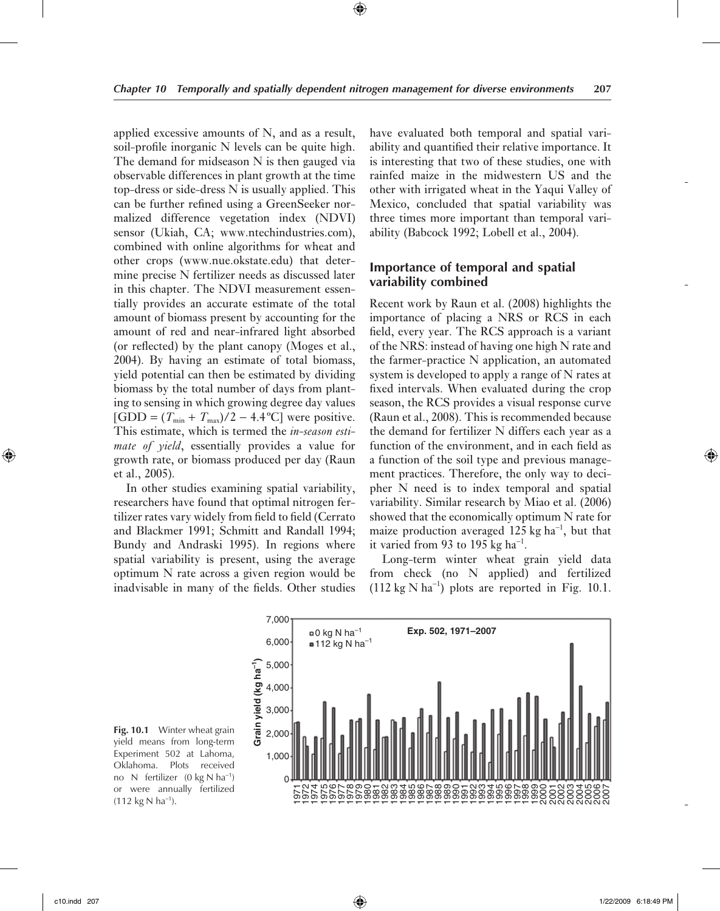$\bigoplus$ 

applied excessive amounts of N, and as a result, soil-profile inorganic N levels can be quite high. The demand for midseason N is then gauged via observable differences in plant growth at the time top-dress or side-dress N is usually applied. This can be further refined using a GreenSeeker normalized difference vegetation index (NDVI) sensor (Ukiah, CA; www.ntechindustries.com), combined with online algorithms for wheat and other crops (www.nue.okstate.edu) that determine precise N fertilizer needs as discussed later in this chapter. The NDVI measurement essentially provides an accurate estimate of the total amount of biomass present by accounting for the amount of red and near-infrared light absorbed (or reflected) by the plant canopy (Moges et al., 2004). By having an estimate of total biomass, yield potential can then be estimated by dividing biomass by the total number of days from planting to sensing in which growing degree day values  $[GDD = (T_{min} + T_{max})/2 - 4.4$ <sup>o</sup>C] were positive. This estimate, which is termed the *in-season estimate of yield*, essentially provides a value for growth rate, or biomass produced per day (Raun et al., 2005).

In other studies examining spatial variability, researchers have found that optimal nitrogen fertilizer rates vary widely from field to field (Cerrato and Blackmer 1991; Schmitt and Randall 1994; Bundy and Andraski 1995). In regions where spatial variability is present, using the average optimum N rate across a given region would be inadvisable in many of the fields. Other studies

have evaluated both temporal and spatial variability and quantified their relative importance. It is interesting that two of these studies, one with rainfed maize in the midwestern US and the other with irrigated wheat in the Yaqui Valley of Mexico, concluded that spatial variability was three times more important than temporal variability (Babcock 1992; Lobell et al., 2004).

# **Importance of temporal and spatial variability combined**

Recent work by Raun et al. (2008) highlights the importance of placing a NRS or RCS in each field, every year. The RCS approach is a variant of the NRS: instead of having one high N rate and the farmer-practice N application, an automated system is developed to apply a range of N rates at fixed intervals. When evaluated during the crop season, the RCS provides a visual response curve (Raun et al., 2008). This is recommended because the demand for fertilizer N differs each year as a function of the environment, and in each field as a function of the soil type and previous management practices. Therefore, the only way to decipher N need is to index temporal and spatial variability. Similar research by Miao et al. (2006) showed that the economically optimum N rate for maize production averaged  $125 \text{ kg ha}^{-1}$ , but that it varied from 93 to 195 kg  $ha^{-1}$ .

Long-term winter wheat grain yield data from check (no N applied) and fertilized  $(112 \text{ kg N ha}^{-1})$  plots are reported in Fig. 10.1.



**Fig. 10.1** Winter wheat grain yield means from long-term Experiment 502 at Lahoma, Oklahoma. Plots received no N fertilizer  $(0 \text{ kg N ha}^{-1})$ or were annually fertilized  $(112 \text{ kg N ha}^{-1}).$ 

⊕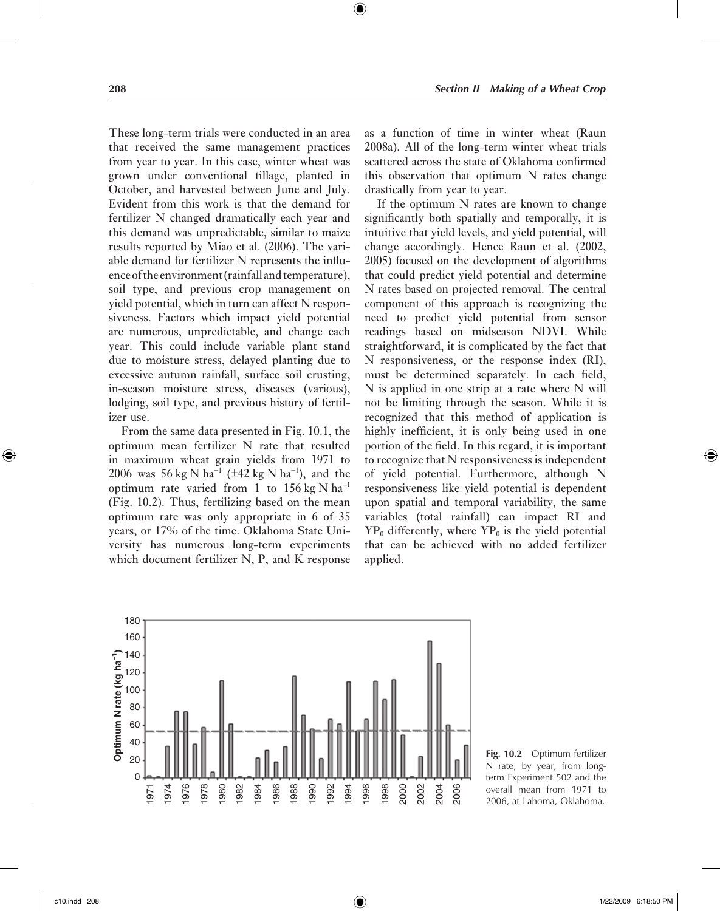These long-term trials were conducted in an area that received the same management practices from year to year. In this case, winter wheat was grown under conventional tillage, planted in October, and harvested between June and July. Evident from this work is that the demand for fertilizer N changed dramatically each year and this demand was unpredictable, similar to maize results reported by Miao et al. (2006). The variable demand for fertilizer N represents the influence of the environment (rainfall and temperature), soil type, and previous crop management on yield potential, which in turn can affect N responsiveness. Factors which impact yield potential are numerous, unpredictable, and change each year. This could include variable plant stand due to moisture stress, delayed planting due to excessive autumn rainfall, surface soil crusting, in-season moisture stress, diseases (various), lodging, soil type, and previous history of fertilizer use.

From the same data presented in Fig. 10.1, the optimum mean fertilizer N rate that resulted in maximum wheat grain yields from 1971 to 2006 was 56 kg N ha<sup>-1</sup> ( $\pm 42$  kg N ha<sup>-1</sup>), and the optimum rate varied from 1 to  $156 \text{ kg N} \text{ ha}^{-1}$ (Fig. 10.2). Thus, fertilizing based on the mean optimum rate was only appropriate in 6 of 35 years, or 17% of the time. Oklahoma State University has numerous long-term experiments which document fertilizer N, P, and K response

as a function of time in winter wheat (Raun 2008a). All of the long-term winter wheat trials scattered across the state of Oklahoma confirmed this observation that optimum N rates change drastically from year to year.

 $\bigoplus$ 

If the optimum N rates are known to change significantly both spatially and temporally, it is intuitive that yield levels, and yield potential, will change accordingly. Hence Raun et al. (2002, 2005) focused on the development of algorithms that could predict yield potential and determine N rates based on projected removal. The central component of this approach is recognizing the need to predict yield potential from sensor readings based on midseason NDVI. While straightforward, it is complicated by the fact that N responsiveness, or the response index (RI), must be determined separately. In each field, N is applied in one strip at a rate where N will not be limiting through the season. While it is recognized that this method of application is highly inefficient, it is only being used in one portion of the field. In this regard, it is important to recognize that N responsiveness is independent of yield potential. Furthermore, although N responsiveness like yield potential is dependent upon spatial and temporal variability, the same variables (total rainfall) can impact RI and  $YP<sub>0</sub>$  differently, where  $YP<sub>0</sub>$  is the yield potential that can be achieved with no added fertilizer applied.



**Fig. 10.2** Optimum fertilizer N rate, by year, from longterm Experiment 502 and the overall mean from 1971 to 2006, at Lahoma, Oklahoma.

⊕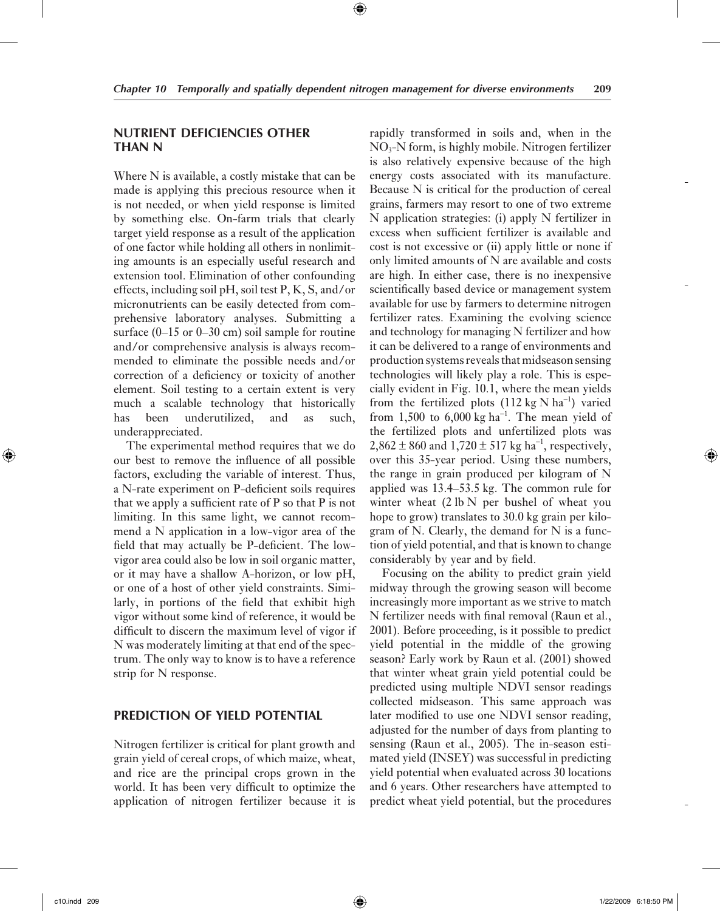⊕

## **NUTRIENT DEFICIENCIES OTHER THAN N**

Where N is available, a costly mistake that can be made is applying this precious resource when it is not needed, or when yield response is limited by something else. On-farm trials that clearly target yield response as a result of the application of one factor while holding all others in nonlimiting amounts is an especially useful research and extension tool. Elimination of other confounding effects, including soil pH, soil test P, K, S, and/or micronutrients can be easily detected from comprehensive laboratory analyses. Submitting a surface  $(0-15 \text{ or } 0-30 \text{ cm})$  soil sample for routine and/or comprehensive analysis is always recommended to eliminate the possible needs and/or correction of a deficiency or toxicity of another element. Soil testing to a certain extent is very much a scalable technology that historically has been underutilized, and as such, underappreciated.

The experimental method requires that we do our best to remove the influence of all possible factors, excluding the variable of interest. Thus, a N-rate experiment on P-deficient soils requires that we apply a sufficient rate of P so that P is not limiting. In this same light, we cannot recommend a N application in a low-vigor area of the field that may actually be P-deficient. The lowvigor area could also be low in soil organic matter, or it may have a shallow A-horizon, or low pH, or one of a host of other yield constraints. Similarly, in portions of the field that exhibit high vigor without some kind of reference, it would be difficult to discern the maximum level of vigor if N was moderately limiting at that end of the spectrum. The only way to know is to have a reference strip for N response.

## **PREDICTION OF YIELD POTENTIAL**

Nitrogen fertilizer is critical for plant growth and grain yield of cereal crops, of which maize, wheat, and rice are the principal crops grown in the world. It has been very difficult to optimize the application of nitrogen fertilizer because it is

rapidly transformed in soils and, when in the  $NO<sub>3</sub>-N$  form, is highly mobile. Nitrogen fertilizer is also relatively expensive because of the high energy costs associated with its manufacture. Because N is critical for the production of cereal grains, farmers may resort to one of two extreme N application strategies: (i) apply N fertilizer in excess when sufficient fertilizer is available and cost is not excessive or (ii) apply little or none if only limited amounts of N are available and costs are high. In either case, there is no inexpensive scientifically based device or management system available for use by farmers to determine nitrogen fertilizer rates. Examining the evolving science and technology for managing N fertilizer and how it can be delivered to a range of environments and production systems reveals that midseason sensing technologies will likely play a role. This is especially evident in Fig. 10.1, where the mean yields from the fertilized plots  $(112 \text{ kg N ha}^{-1})$  varied from  $1,500$  to  $6,000$  kg ha<sup>-1</sup>. The mean yield of the fertilized plots and unfertilized plots was  $2,862 \pm 860$  and  $1,720 \pm 517$  kg ha<sup>-1</sup>, respectively, over this 35-year period. Using these numbers, the range in grain produced per kilogram of N applied was 13.4–53.5 kg. The common rule for winter wheat  $(2 lb N per bushel of wheat you$ hope to grow) translates to 30.0 kg grain per kilogram of N. Clearly, the demand for  $N$  is a function of yield potential, and that is known to change considerably by year and by field.

Focusing on the ability to predict grain yield midway through the growing season will become increasingly more important as we strive to match N fertilizer needs with final removal (Raun et al., 2001). Before proceeding, is it possible to predict yield potential in the middle of the growing season? Early work by Raun et al. (2001) showed that winter wheat grain yield potential could be predicted using multiple NDVI sensor readings collected midseason. This same approach was later modified to use one NDVI sensor reading, adjusted for the number of days from planting to sensing (Raun et al., 2005). The in-season estimated yield (INSEY) was successful in predicting yield potential when evaluated across 30 locations and 6 years. Other researchers have attempted to predict wheat yield potential, but the procedures

⊕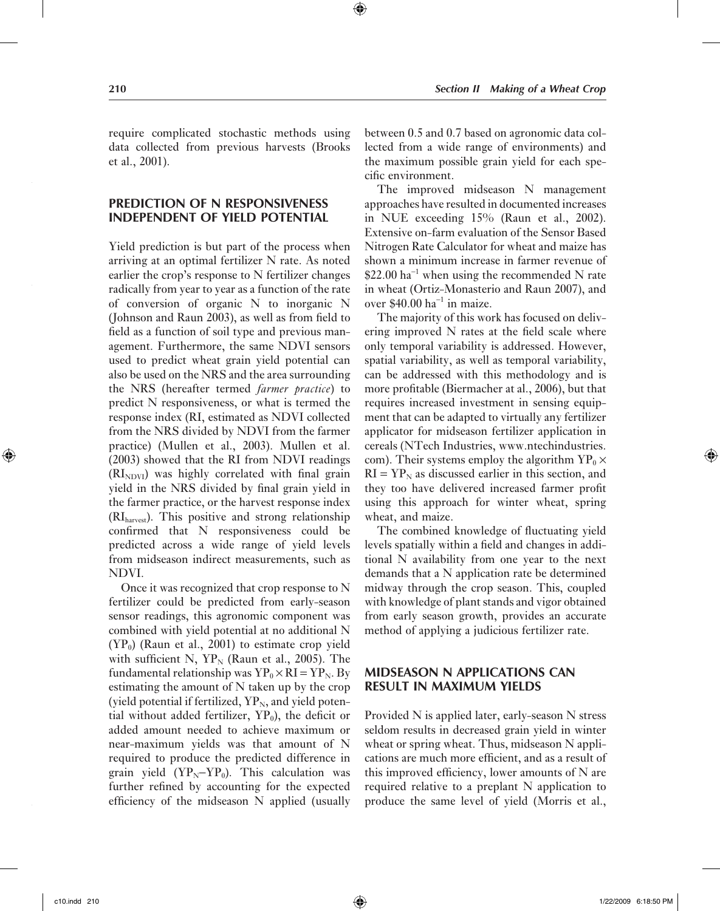require complicated stochastic methods using data collected from previous harvests (Brooks et al., 2001).

## **PREDICTION OF N RESPONSIVENESS INDEPENDENT OF YIELD POTENTIAL**

Yield prediction is but part of the process when arriving at an optimal fertilizer N rate. As noted earlier the crop's response to N fertilizer changes radically from year to year as a function of the rate of conversion of organic N to inorganic N (Johnson and Raun 2003), as well as from field to field as a function of soil type and previous management. Furthermore, the same NDVI sensors used to predict wheat grain yield potential can also be used on the NRS and the area surrounding the NRS (hereafter termed *farmer practice*) to predict N responsiveness, or what is termed the response index (RI, estimated as NDVI collected from the NRS divided by NDVI from the farmer practice) (Mullen et al., 2003). Mullen et al. (2003) showed that the RI from NDVI readings  $(RI<sub>NDVI</sub>)$  was highly correlated with final grain yield in the NRS divided by final grain yield in the farmer practice, or the harvest response index (RIharvest). This positive and strong relationship confirmed that N responsiveness could be predicted across a wide range of yield levels from midseason indirect measurements, such as NDVI.

Once it was recognized that crop response to N fertilizer could be predicted from early-season sensor readings, this agronomic component was combined with yield potential at no additional N  $(YP_0)$  (Raun et al., 2001) to estimate crop yield with sufficient N,  $YP_N$  (Raun et al., 2005). The fundamental relationship was  $YP_0 \times RI = YP_N$ . By estimating the amount of N taken up by the crop (yield potential if fertilized,  $YP_N$ , and yield potential without added fertilizer,  $YP_0$ ), the deficit or added amount needed to achieve maximum or near-maximum yields was that amount of N required to produce the predicted difference in grain yield  $(YP_N-YP_0)$ . This calculation was further refined by accounting for the expected efficiency of the midseason N applied (usually between 0.5 and 0.7 based on agronomic data collected from a wide range of environments) and the maximum possible grain yield for each specific environment.

 $\bigcirc$ 

The improved midseason N management approaches have resulted in documented increases in NUE exceeding 15% (Raun et al., 2002). Extensive on-farm evaluation of the Sensor Based Nitrogen Rate Calculator for wheat and maize has shown a minimum increase in farmer revenue of  $$22.00$  ha<sup>-1</sup> when using the recommended N rate in wheat (Ortiz-Monasterio and Raun 2007), and over  $$40.00 \text{ ha}^{-1}$  in maize.

The majority of this work has focused on delivering improved N rates at the field scale where only temporal variability is addressed. However, spatial variability, as well as temporal variability, can be addressed with this methodology and is more profitable (Biermacher at al., 2006), but that requires increased investment in sensing equipment that can be adapted to virtually any fertilizer applicator for midseason fertilizer application in cereals (NTech Industries, www.ntechindustries. com). Their systems employ the algorithm  $YP_0 \times$  $RI = YP<sub>N</sub>$  as discussed earlier in this section, and they too have delivered increased farmer profit using this approach for winter wheat, spring wheat, and maize.

The combined knowledge of fluctuating yield levels spatially within a field and changes in additional N availability from one year to the next demands that a N application rate be determined midway through the crop season. This, coupled with knowledge of plant stands and vigor obtained from early season growth, provides an accurate method of applying a judicious fertilizer rate.

## **MIDSEASON N APPLICATIONS CAN RESULT IN MAXIMUM YIELDS**

Provided N is applied later, early-season N stress seldom results in decreased grain yield in winter wheat or spring wheat. Thus, midseason N applications are much more efficient, and as a result of this improved efficiency, lower amounts of N are required relative to a preplant N application to produce the same level of yield (Morris et al.,

⊕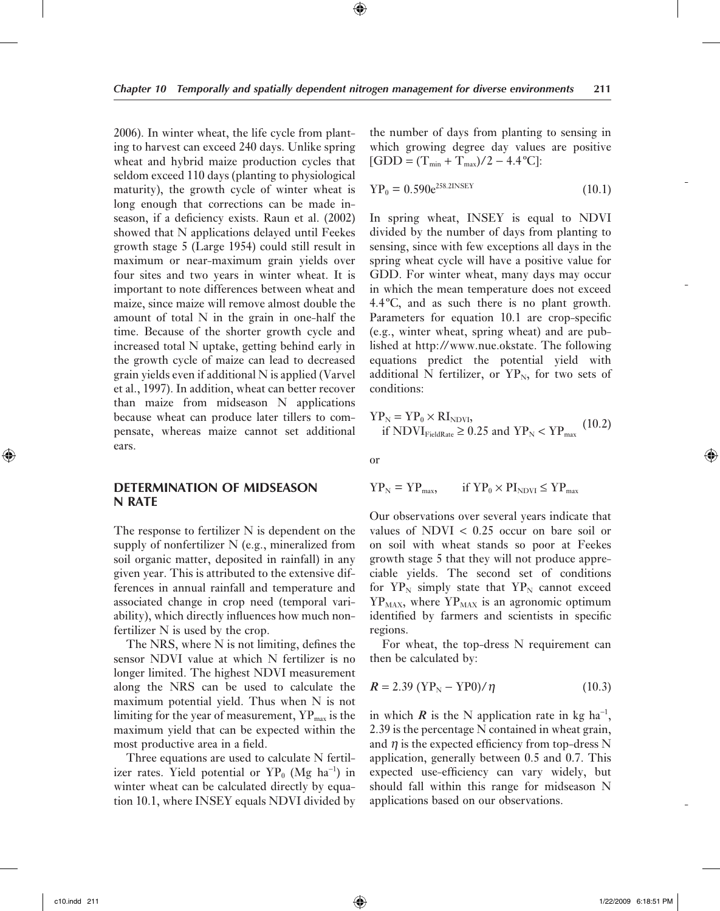$\bigcirc$ 

2006). In winter wheat, the life cycle from planting to harvest can exceed 240 days. Unlike spring wheat and hybrid maize production cycles that seldom exceed 110 days (planting to physiological maturity), the growth cycle of winter wheat is long enough that corrections can be made inseason, if a deficiency exists. Raun et al. (2002) showed that N applications delayed until Feekes growth stage 5 (Large 1954) could still result in maximum or near-maximum grain yields over four sites and two years in winter wheat. It is important to note differences between wheat and maize, since maize will remove almost double the amount of total N in the grain in one-half the time. Because of the shorter growth cycle and increased total N uptake, getting behind early in the growth cycle of maize can lead to decreased grain yields even if additional N is applied (Varvel et al., 1997). In addition, wheat can better recover than maize from midseason N applications because wheat can produce later tillers to compensate, whereas maize cannot set additional ears.

# **DETERMINATION OF MIDSEASON N RATE**

The response to fertilizer N is dependent on the supply of nonfertilizer N (e.g., mineralized from soil organic matter, deposited in rainfall) in any given year. This is attributed to the extensive differences in annual rainfall and temperature and associated change in crop need (temporal variability), which directly influences how much nonfertilizer N is used by the crop.

The NRS, where N is not limiting, defines the sensor NDVI value at which N fertilizer is no longer limited. The highest NDVI measurement along the NRS can be used to calculate the maximum potential yield. Thus when N is not limiting for the year of measurement,  $YP<sub>max</sub>$  is the maximum yield that can be expected within the most productive area in a field.

Three equations are used to calculate N fertilizer rates. Yield potential or  $YP_0$  (Mg ha<sup>-1</sup>) in winter wheat can be calculated directly by equation 10.1, where INSEY equals NDVI divided by

the number of days from planting to sensing in which growing degree day values are positive  $[GDD = (T_{min} + T_{max})/2 - 4.4 °C]$ :

$$
YP_0 = 0.590e^{258.21NSEY}
$$
 (10.1)

In spring wheat, INSEY is equal to NDVI divided by the number of days from planting to sensing, since with few exceptions all days in the spring wheat cycle will have a positive value for GDD. For winter wheat, many days may occur in which the mean temperature does not exceed 4.4 ºC, and as such there is no plant growth. Parameters for equation 10.1 are crop-specific (e.g., winter wheat, spring wheat) and are published at http://www.nue.okstate. The following equations predict the potential yield with additional N fertilizer, or  $YP_N$ , for two sets of conditions:

$$
YP_N = YP_0 \times RI_{NDVI}
$$
,  
if NDVI<sub>FieldRate</sub>  $\geq 0.25$  and  $YP_N < YP_{max}$  (10.2)

or

$$
YP_N = YP_{\text{max}}, \quad \text{if } YP_0 \times PI_{\text{NDVI}} \leq YP_{\text{max}}
$$

Our observations over several years indicate that values of NDVI < 0.25 occur on bare soil or on soil with wheat stands so poor at Feekes growth stage 5 that they will not produce appreciable yields. The second set of conditions for  $YP_N$  simply state that  $YP_N$  cannot exceed  $YP<sub>MAX</sub>$ , where  $YP<sub>MAX</sub>$  is an agronomic optimum identified by farmers and scientists in specific regions.

For wheat, the top-dress N requirement can then be calculated by:

$$
R = 2.39 \, (YP_N - YP0) / \eta \tag{10.3}
$$

in which  $R$  is the N application rate in kg ha<sup>-1</sup>, 2.39 is the percentage N contained in wheat grain, and  $\eta$  is the expected efficiency from top-dress N application, generally between 0.5 and 0.7. This expected use-efficiency can vary widely, but should fall within this range for midseason N applications based on our observations.

⊕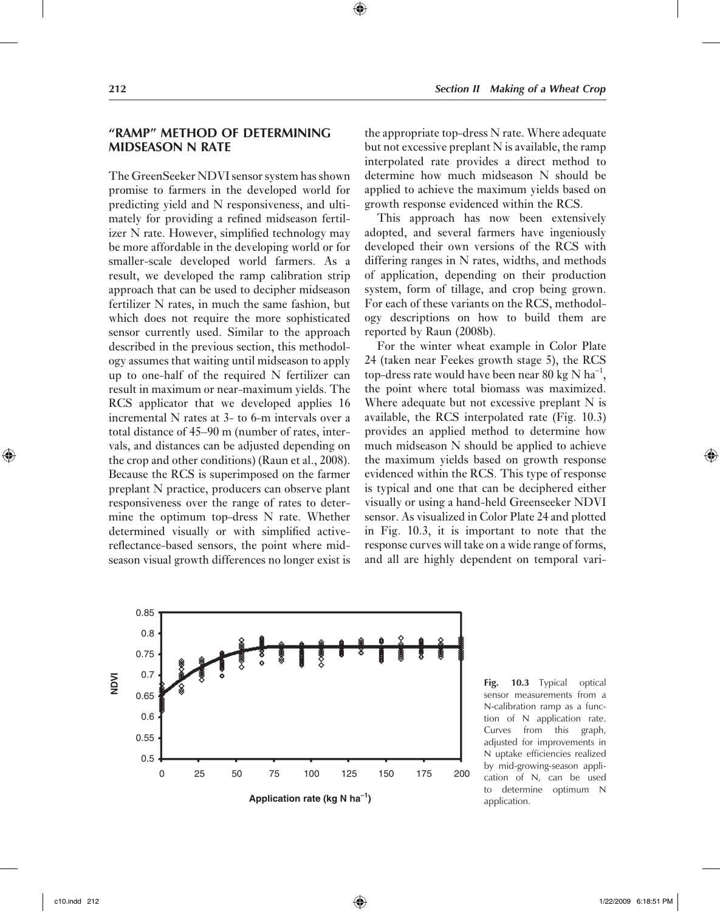# **"RAMP" METHOD OF DETERMINING MIDSEASON N RATE**

The GreenSeeker NDVI sensor system has shown promise to farmers in the developed world for predicting yield and N responsiveness, and ultimately for providing a refined midseason fertilizer N rate. However, simplified technology may be more affordable in the developing world or for smaller-scale developed world farmers. As a result, we developed the ramp calibration strip approach that can be used to decipher midseason fertilizer N rates, in much the same fashion, but which does not require the more sophisticated sensor currently used. Similar to the approach described in the previous section, this methodology assumes that waiting until midseason to apply up to one-half of the required N fertilizer can result in maximum or near-maximum yields. The RCS applicator that we developed applies 16 incremental N rates at 3- to 6-m intervals over a total distance of 45–90 m (number of rates, intervals, and distances can be adjusted depending on the crop and other conditions) (Raun et al., 2008). Because the RCS is superimposed on the farmer preplant N practice, producers can observe plant responsiveness over the range of rates to determine the optimum top-dress N rate. Whether determined visually or with simplified activereflectance-based sensors, the point where midseason visual growth differences no longer exist is the appropriate top-dress N rate. Where adequate but not excessive preplant N is available, the ramp interpolated rate provides a direct method to determine how much midseason N should be applied to achieve the maximum yields based on growth response evidenced within the RCS.

 $\bigcirc$ 

This approach has now been extensively adopted, and several farmers have ingeniously developed their own versions of the RCS with differing ranges in N rates, widths, and methods of application, depending on their production system, form of tillage, and crop being grown. For each of these variants on the RCS, methodology descriptions on how to build them are reported by Raun (2008b).

For the winter wheat example in Color Plate 24 (taken near Feekes growth stage 5), the RCS top-dress rate would have been near  $80 \text{ kg N ha}^{-1}$ , the point where total biomass was maximized. Where adequate but not excessive preplant N is available, the RCS interpolated rate (Fig. 10.3) provides an applied method to determine how much midseason N should be applied to achieve the maximum yields based on growth response evidenced within the RCS. This type of response is typical and one that can be deciphered either visually or using a hand-held Greenseeker NDVI sensor. As visualized in Color Plate 24 and plotted in Fig. 10.3, it is important to note that the response curves will take on a wide range of forms, and all are highly dependent on temporal vari-



**Fig. 10.3** Typical optical sensor measurements from a N-calibration ramp as a function of N application rate. Curves from this graph, adjusted for improvements in N uptake efficiencies realized by mid-growing-season application of N, can be used to determine optimum N application.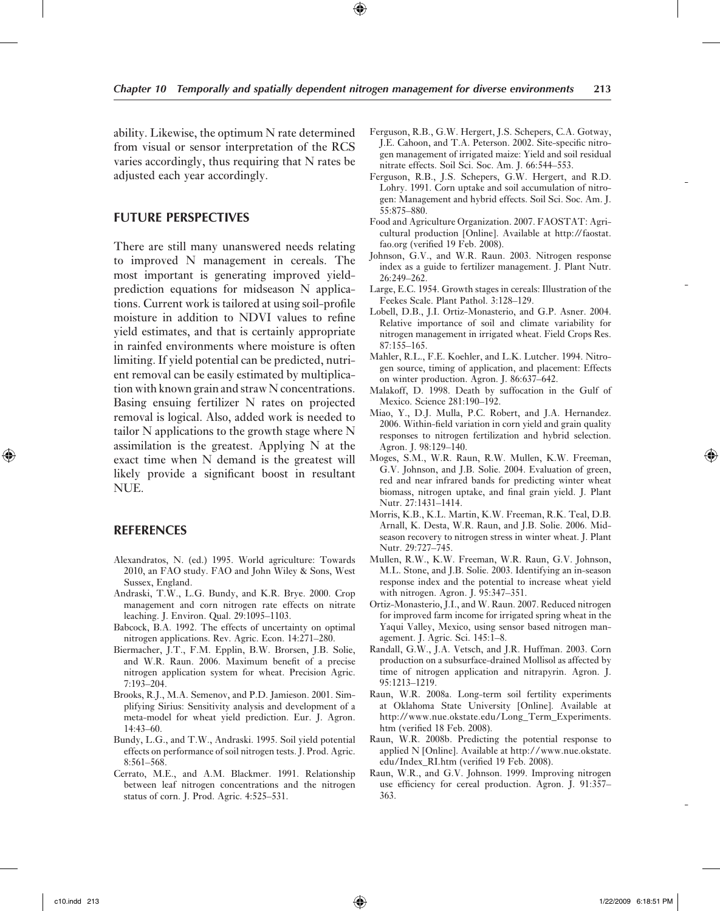⊕

ability. Likewise, the optimum N rate determined from visual or sensor interpretation of the RCS varies accordingly, thus requiring that N rates be adjusted each year accordingly.

## **FUTURE PERSPECTIVES**

There are still many unanswered needs relating to improved N management in cereals. The most important is generating improved yieldprediction equations for midseason N applications. Current work is tailored at using soil-profile moisture in addition to NDVI values to refine yield estimates, and that is certainly appropriate in rainfed environments where moisture is often limiting. If yield potential can be predicted, nutrient removal can be easily estimated by multiplication with known grain and straw N concentrations. Basing ensuing fertilizer N rates on projected removal is logical. Also, added work is needed to tailor N applications to the growth stage where N assimilation is the greatest. Applying N at the exact time when N demand is the greatest will likely provide a significant boost in resultant NUE.

## **REFERENCES**

- Alexandratos, N. (ed.) 1995. World agriculture: Towards 2010, an FAO study. FAO and John Wiley & Sons, West Sussex, England.
- Andraski, T.W., L.G. Bundy, and K.R. Brye. 2000. Crop management and corn nitrogen rate effects on nitrate leaching. J. Environ. Qual. 29:1095–1103.
- Babcock, B.A. 1992. The effects of uncertainty on optimal nitrogen applications. Rev. Agric. Econ. 14:271–280.
- Biermacher, J.T., F.M. Epplin, B.W. Brorsen, J.B. Solie, and W.R. Raun. 2006. Maximum benefit of a precise nitrogen application system for wheat. Precision Agric. 7:193–204.
- Brooks, R.J., M.A. Semenov, and P.D. Jamieson. 2001. Simplifying Sirius: Sensitivity analysis and development of a meta-model for wheat yield prediction. Eur. J. Agron. 14:43–60.
- Bundy, L.G., and T.W., Andraski. 1995. Soil yield potential effects on performance of soil nitrogen tests. J. Prod. Agric. 8:561–568.
- Cerrato, M.E., and A.M. Blackmer. 1991. Relationship between leaf nitrogen concentrations and the nitrogen status of corn. J. Prod. Agric. 4:525–531.
- Ferguson, R.B., G.W. Hergert, J.S. Schepers, C.A. Gotway, J.E. Cahoon, and T.A. Peterson. 2002. Site-specific nitrogen management of irrigated maize: Yield and soil residual nitrate effects. Soil Sci. Soc. Am. J. 66:544–553.
- Ferguson, R.B., J.S. Schepers, G.W. Hergert, and R.D. Lohry. 1991. Corn uptake and soil accumulation of nitrogen: Management and hybrid effects. Soil Sci. Soc. Am. J. 55:875–880.
- Food and Agriculture Organization. 2007. FAOSTAT: Agricultural production [Online]. Available at http://faostat. fao.org (verified 19 Feb. 2008).
- Johnson, G.V., and W.R. Raun. 2003. Nitrogen response index as a guide to fertilizer management. J. Plant Nutr. 26:249–262.
- Large, E.C. 1954. Growth stages in cereals: Illustration of the Feekes Scale. Plant Pathol. 3:128–129.
- Lobell, D.B., J.I. Ortiz-Monasterio, and G.P. Asner. 2004. Relative importance of soil and climate variability for nitrogen management in irrigated wheat. Field Crops Res. 87:155–165.
- Mahler, R.L., F.E. Koehler, and L.K. Lutcher. 1994. Nitrogen source, timing of application, and placement: Effects on winter production. Agron. J. 86:637–642.
- Malakoff, D. 1998. Death by suffocation in the Gulf of Mexico. Science 281:190–192.
- Miao, Y., D.J. Mulla, P.C. Robert, and J.A. Hernandez. 2006. Within-field variation in corn yield and grain quality responses to nitrogen fertilization and hybrid selection. Agron. J. 98:129–140.
- Moges, S.M., W.R. Raun, R.W. Mullen, K.W. Freeman, G.V. Johnson, and J.B. Solie. 2004. Evaluation of green, red and near infrared bands for predicting winter wheat biomass, nitrogen uptake, and final grain yield. J. Plant Nutr. 27:1431–1414.
- Morris, K.B., K.L. Martin, K.W. Freeman, R.K. Teal, D.B. Arnall, K. Desta, W.R. Raun, and J.B. Solie. 2006. Midseason recovery to nitrogen stress in winter wheat. J. Plant Nutr. 29:727–745.
- Mullen, R.W., K.W. Freeman, W.R. Raun, G.V. Johnson, M.L. Stone, and J.B. Solie. 2003. Identifying an in-season response index and the potential to increase wheat yield with nitrogen. Agron. J. 95:347–351.
- Ortiz-Monasterio, J.I., and W. Raun. 2007. Reduced nitrogen for improved farm income for irrigated spring wheat in the Yaqui Valley, Mexico, using sensor based nitrogen management. J. Agric. Sci. 145:1–8.
- Randall, G.W., J.A. Vetsch, and J.R. Huffman. 2003. Corn production on a subsurface-drained Mollisol as affected by time of nitrogen application and nitrapyrin. Agron. J. 95:1213–1219.
- Raun, W.R. 2008a. Long-term soil fertility experiments at Oklahoma State University [Online]. Available at http://www.nue.okstate.edu/Long\_Term\_Experiments. htm (verified 18 Feb. 2008).
- Raun, W.R. 2008b. Predicting the potential response to applied N [Online]. Available at http://www.nue.okstate. edu/Index\_RI.htm (verified 19 Feb. 2008).
- Raun, W.R., and G.V. Johnson. 1999. Improving nitrogen use efficiency for cereal production. Agron. J. 91:357– 363.